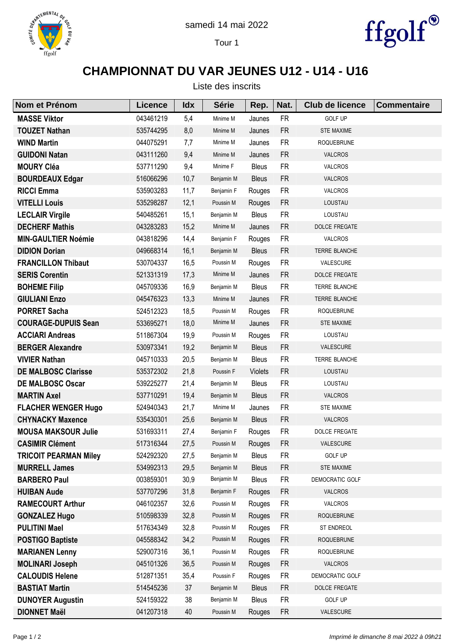





## **CHAMPIONNAT DU VAR JEUNES U12 - U14 - U16**

| Nom et Prénom                | <b>Licence</b> | <b>Idx</b> | <b>Série</b> | Rep.           | Nat.      | <b>Club de licence</b> | <b>Commentaire</b> |
|------------------------------|----------------|------------|--------------|----------------|-----------|------------------------|--------------------|
| <b>MASSE Viktor</b>          | 043461219      | 5,4        | Minime M     | Jaunes         | <b>FR</b> | <b>GOLF UP</b>         |                    |
| <b>TOUZET Nathan</b>         | 535744295      | 8,0        | Minime M     | Jaunes         | <b>FR</b> | <b>STE MAXIME</b>      |                    |
| <b>WIND Martin</b>           | 044075291      | 7,7        | Minime M     | Jaunes         | <b>FR</b> | <b>ROQUEBRUNE</b>      |                    |
| <b>GUIDONI Natan</b>         | 043111260      | 9,4        | Minime M     | Jaunes         | <b>FR</b> | <b>VALCROS</b>         |                    |
| <b>MOURY Cléa</b>            | 537711290      | 9,4        | Minime F     | <b>Bleus</b>   | <b>FR</b> | VALCROS                |                    |
| <b>BOURDEAUX Edgar</b>       | 516066296      | 10,7       | Benjamin M   | <b>Bleus</b>   | <b>FR</b> | VALCROS                |                    |
| <b>RICCI Emma</b>            | 535903283      | 11,7       | Benjamin F   | Rouges         | <b>FR</b> | VALCROS                |                    |
| <b>VITELLI Louis</b>         | 535298287      | 12,1       | Poussin M    | Rouges         | <b>FR</b> | LOUSTAU                |                    |
| <b>LECLAIR Virgile</b>       | 540485261      | 15,1       | Benjamin M   | <b>Bleus</b>   | <b>FR</b> | LOUSTAU                |                    |
| <b>DECHERF Mathis</b>        | 043283283      | 15,2       | Minime M     | Jaunes         | <b>FR</b> | <b>DOLCE FREGATE</b>   |                    |
| <b>MIN-GAULTIER Noémie</b>   | 043818296      | 14,4       | Benjamin F   | Rouges         | <b>FR</b> | <b>VALCROS</b>         |                    |
| <b>DIDION Dorian</b>         | 049668314      | 16,1       | Benjamin M   | <b>Bleus</b>   | <b>FR</b> | TERRE BLANCHE          |                    |
| <b>FRANCILLON Thibaut</b>    | 530704337      | 16,5       | Poussin M    | Rouges         | <b>FR</b> | VALESCURE              |                    |
| <b>SERIS Corentin</b>        | 521331319      | 17,3       | Minime M     | Jaunes         | <b>FR</b> | <b>DOLCE FREGATE</b>   |                    |
| <b>BOHEME Filip</b>          | 045709336      | 16,9       | Benjamin M   | <b>Bleus</b>   | <b>FR</b> | TERRE BLANCHE          |                    |
| <b>GIULIANI Enzo</b>         | 045476323      | 13,3       | Minime M     | Jaunes         | <b>FR</b> | TERRE BLANCHE          |                    |
| <b>PORRET Sacha</b>          | 524512323      | 18,5       | Poussin M    | Rouges         | <b>FR</b> | <b>ROQUEBRUNE</b>      |                    |
| <b>COURAGE-DUPUIS Sean</b>   | 533695271      | 18,0       | Minime M     | Jaunes         | <b>FR</b> | <b>STE MAXIME</b>      |                    |
| <b>ACCIARI Andreas</b>       | 511867304      | 19,9       | Poussin M    | Rouges         | <b>FR</b> | LOUSTAU                |                    |
| <b>BERGER Alexandre</b>      | 530973341      | 19,2       | Benjamin M   | <b>Bleus</b>   | <b>FR</b> | <b>VALESCURE</b>       |                    |
| <b>VIVIER Nathan</b>         | 045710333      | 20,5       | Benjamin M   | <b>Bleus</b>   | <b>FR</b> | TERRE BLANCHE          |                    |
| <b>DE MALBOSC Clarisse</b>   | 535372302      | 21,8       | Poussin F    | <b>Violets</b> | <b>FR</b> | LOUSTAU                |                    |
| <b>DE MALBOSC Oscar</b>      | 539225277      | 21,4       | Benjamin M   | <b>Bleus</b>   | <b>FR</b> | LOUSTAU                |                    |
| <b>MARTIN Axel</b>           | 537710291      | 19,4       | Benjamin M   | <b>Bleus</b>   | <b>FR</b> | <b>VALCROS</b>         |                    |
| <b>FLACHER WENGER Hugo</b>   | 524940343      | 21,7       | Minime M     | Jaunes         | <b>FR</b> | <b>STE MAXIME</b>      |                    |
| <b>CHYNACKY Maxence</b>      | 535430301      | 25,6       | Benjamin M   | <b>Bleus</b>   | <b>FR</b> | <b>VALCROS</b>         |                    |
| <b>MOUSA MAKSOUR Julie</b>   | 531693311      | 27,4       | Benjamin F   | Rouges         | <b>FR</b> | <b>DOLCE FREGATE</b>   |                    |
| <b>CASIMIR Clément</b>       | 517316344      | 27,5       | Poussin M    | Rouges         | <b>FR</b> | VALESCURE              |                    |
| <b>TRICOIT PEARMAN Miley</b> | 524292320      | 27,5       | Benjamin M   | Bleus          | <b>FR</b> | <b>GOLF UP</b>         |                    |
| <b>MURRELL James</b>         | 534992313      | 29,5       | Benjamin M   | <b>Bleus</b>   | <b>FR</b> | STE MAXIME             |                    |
| <b>BARBERO Paul</b>          | 003859301      | 30,9       | Benjamin M   | <b>Bleus</b>   | <b>FR</b> | DEMOCRATIC GOLF        |                    |
| <b>HUIBAN Aude</b>           | 537707296      | 31,8       | Benjamin F   | Rouges         | <b>FR</b> | VALCROS                |                    |
| <b>RAMECOURT Arthur</b>      | 046102357      | 32,6       | Poussin M    | Rouges         | <b>FR</b> | VALCROS                |                    |
| <b>GONZALEZ Hugo</b>         | 510598339      | 32,8       | Poussin M    | Rouges         | <b>FR</b> | <b>ROQUEBRUNE</b>      |                    |
| <b>PULITINI Mael</b>         | 517634349      | 32,8       | Poussin M    | Rouges         | <b>FR</b> | ST ENDREOL             |                    |
| <b>POSTIGO Baptiste</b>      | 045588342      | 34,2       | Poussin M    | Rouges         | <b>FR</b> | <b>ROQUEBRUNE</b>      |                    |
| <b>MARIANEN Lenny</b>        | 529007316      | 36,1       | Poussin M    | Rouges         | <b>FR</b> | <b>ROQUEBRUNE</b>      |                    |
| <b>MOLINARI Joseph</b>       | 045101326      | 36,5       | Poussin M    | Rouges         | <b>FR</b> | VALCROS                |                    |
| <b>CALOUDIS Helene</b>       | 512871351      | 35,4       | Poussin F    | Rouges         | <b>FR</b> | DEMOCRATIC GOLF        |                    |
| <b>BASTIAT Martin</b>        | 514545236      | 37         | Benjamin M   | <b>Bleus</b>   | <b>FR</b> | DOLCE FREGATE          |                    |
| <b>DUNOYER Augustin</b>      | 524159322      | 38         | Benjamin M   | <b>Bleus</b>   | <b>FR</b> | <b>GOLF UP</b>         |                    |
| <b>DIONNET Maël</b>          | 041207318      | 40         | Poussin M    | Rouges         | <b>FR</b> | VALESCURE              |                    |

Liste des inscrits